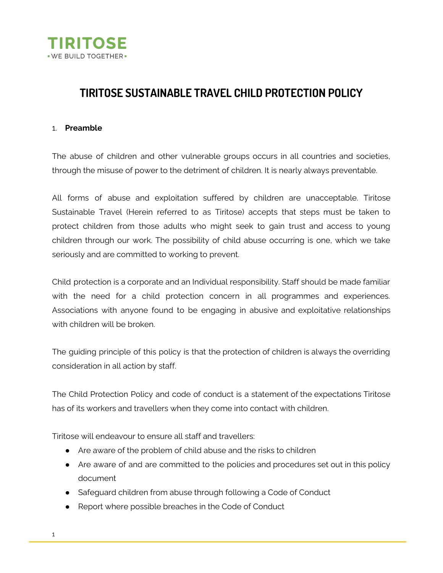

# **TIRITOSE SUSTAINABLE TRAVEL CHILD PROTECTION POLICY**

#### 1. **Preamble**

The abuse of children and other vulnerable groups occurs in all countries and societies, through the misuse of power to the detriment of children. It is nearly always preventable.

All forms of abuse and exploitation suffered by children are unacceptable. Tiritose Sustainable Travel (Herein referred to as Tiritose) accepts that steps must be taken to protect children from those adults who might seek to gain trust and access to young children through our work. The possibility of child abuse occurring is one, which we take seriously and are committed to working to prevent.

Child protection is a corporate and an Individual responsibility. Staff should be made familiar with the need for a child protection concern in all programmes and experiences. Associations with anyone found to be engaging in abusive and exploitative relationships with children will be broken.

The guiding principle of this policy is that the protection of children is always the overriding consideration in all action by staff.

The Child Protection Policy and code of conduct is a statement of the expectations Tiritose has of its workers and travellers when they come into contact with children.

Tiritose will endeavour to ensure all staff and travellers:

- Are aware of the problem of child abuse and the risks to children
- Are aware of and are committed to the policies and procedures set out in this policy document
- Safeguard children from abuse through following a Code of Conduct
- Report where possible breaches in the Code of Conduct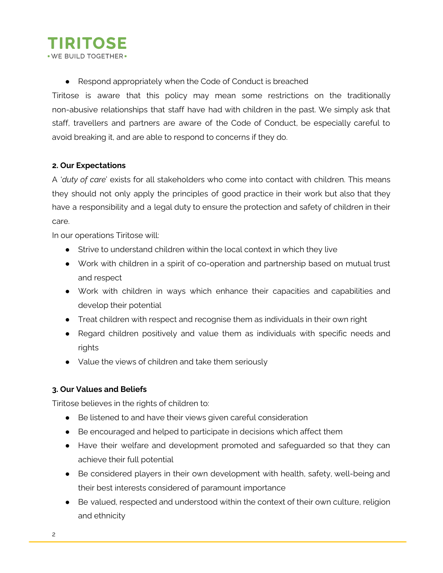## **TIRITOSE** . WE BUILD TOGETHER.

● Respond appropriately when the Code of Conduct is breached

Tiritose is aware that this policy may mean some restrictions on the traditionally non-abusive relationships that staff have had with children in the past. We simply ask that staff, travellers and partners are aware of the Code of Conduct, be especially careful to avoid breaking it, and are able to respond to concerns if they do.

### **2. Our Expectations**

A '*duty of care*' exists for all stakeholders who come into contact with children. This means they should not only apply the principles of good practice in their work but also that they have a responsibility and a legal duty to ensure the protection and safety of children in their care.

In our operations Tiritose will:

- Strive to understand children within the local context in which they live
- Work with children in a spirit of co-operation and partnership based on mutual trust and respect
- Work with children in ways which enhance their capacities and capabilities and develop their potential
- Treat children with respect and recognise them as individuals in their own right
- Regard children positively and value them as individuals with specific needs and rights
- Value the views of children and take them seriously

### **3. Our Values and Beliefs**

Tiritose believes in the rights of children to:

- Be listened to and have their views given careful consideration
- Be encouraged and helped to participate in decisions which affect them
- Have their welfare and development promoted and safeguarded so that they can achieve their full potential
- Be considered players in their own development with health, safety, well-being and their best interests considered of paramount importance
- Be valued, respected and understood within the context of their own culture, religion and ethnicity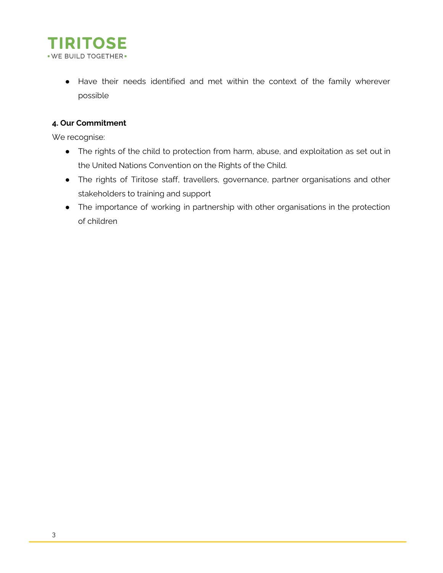

● Have their needs identified and met within the context of the family wherever possible

### **4. Our Commitment**

We recognise:

- The rights of the child to protection from harm, abuse, and exploitation as set out in the United Nations Convention on the Rights of the Child.
- The rights of Tiritose staff, travellers, governance, partner organisations and other stakeholders to training and support
- The importance of working in partnership with other organisations in the protection of children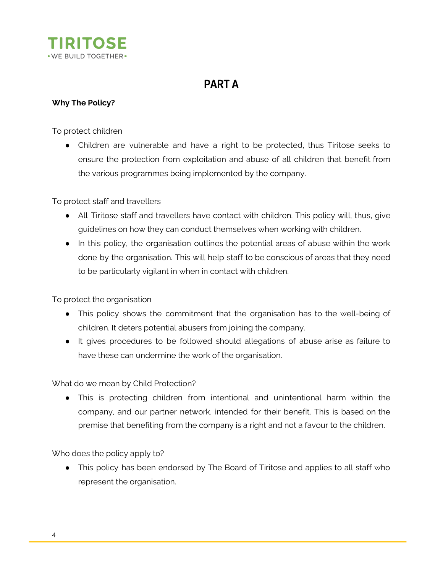

# **PART A**

### **Why The Policy?**

To protect children

• Children are vulnerable and have a right to be protected, thus Tiritose seeks to ensure the protection from exploitation and abuse of all children that benefit from the various programmes being implemented by the company.

To protect staff and travellers

- All Tiritose staff and travellers have contact with children. This policy will, thus, give guidelines on how they can conduct themselves when working with children.
- In this policy, the organisation outlines the potential areas of abuse within the work done by the organisation. This will help staff to be conscious of areas that they need to be particularly vigilant in when in contact with children.

To protect the organisation

- This policy shows the commitment that the organisation has to the well-being of children. It deters potential abusers from joining the company.
- It gives procedures to be followed should allegations of abuse arise as failure to have these can undermine the work of the organisation.

What do we mean by Child Protection?

● This is protecting children from intentional and unintentional harm within the company, and our partner network, intended for their benefit. This is based on the premise that benefiting from the company is a right and not a favour to the children.

Who does the policy apply to?

● This policy has been endorsed by The Board of Tiritose and applies to all staff who represent the organisation.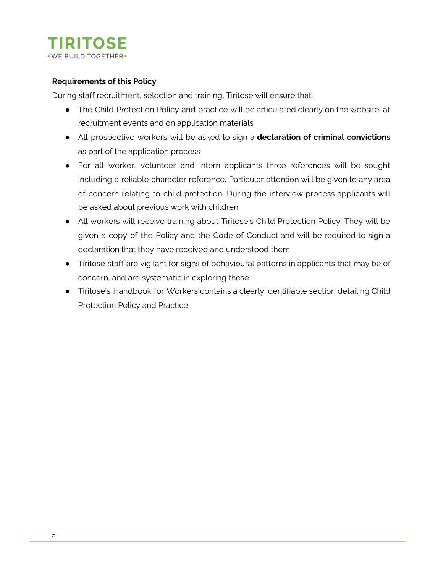

#### **Requirements of this Policy**

During staff recruitment, selection and training, Tiritose will ensure that:

- The Child Protection Policy and practice will be articulated clearly on the website, at recruitment events and on application materials
- All prospective workers will be asked to sign a **declaration of criminal convictions** as part of the application process
- For all worker, volunteer and intern applicants three references will be sought including a reliable character reference. Particular attention will be given to any area of concern relating to child protection. During the interview process applicants will be asked about previous work with children
- All workers will receive training about Tiritose's Child Protection Policy. They will be given a copy of the Policy and the Code of Conduct and will be required to sign a declaration that they have received and understood them
- Tiritose staff are vigilant for signs of behavioural patterns in applicants that may be of concern, and are systematic in exploring these
- Tiritose's Handbook for Workers contains a clearly identifiable section detailing Child Protection Policy and Practice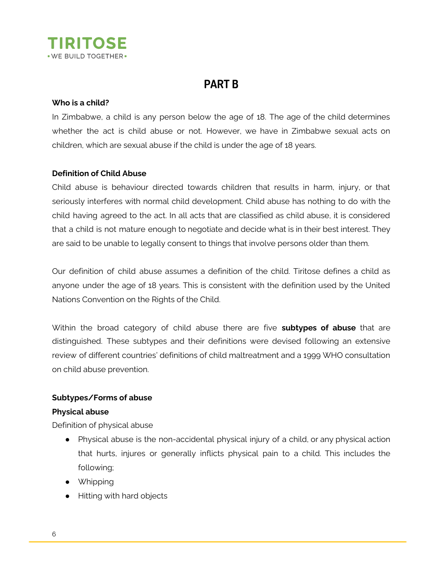

# **PART B**

#### **Who is a child?**

In Zimbabwe, a child is any person below the age of 18. The age of the child determines whether the act is child abuse or not. However, we have in Zimbabwe sexual acts on children, which are sexual abuse if the child is under the age of 18 years.

#### **Definition of Child Abuse**

Child abuse is behaviour directed towards children that results in harm, injury, or that seriously interferes with normal child development. Child abuse has nothing to do with the child having agreed to the act. In all acts that are classified as child abuse, it is considered that a child is not mature enough to negotiate and decide what is in their best interest. They are said to be unable to legally consent to things that involve persons older than them.

Our definition of child abuse assumes a definition of the child. Tiritose defines a child as anyone under the age of 18 years. This is consistent with the definition used by the United Nations Convention on the Rights of the Child.

Within the broad category of child abuse there are five **subtypes of abuse** that are distinguished. These subtypes and their definitions were devised following an extensive review of different countries' definitions of child maltreatment and a 1999 WHO consultation on child abuse prevention.

#### **Subtypes/Forms of abuse**

#### **Physical abuse**

Definition of physical abuse

- Physical abuse is the non-accidental physical injury of a child, or any physical action that hurts, injures or generally inflicts physical pain to a child. This includes the following;
- Whipping
- Hitting with hard objects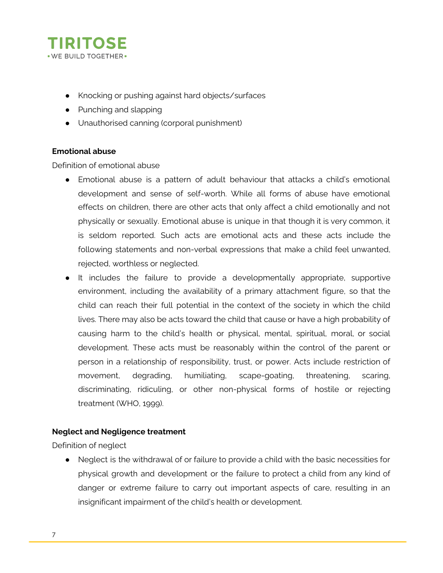

- Knocking or pushing against hard objects/surfaces
- Punching and slapping
- Unauthorised canning (corporal punishment)

#### **Emotional abuse**

Definition of emotional abuse

- Emotional abuse is a pattern of adult behaviour that attacks a child's emotional development and sense of self-worth. While all forms of abuse have emotional effects on children, there are other acts that only affect a child emotionally and not physically or sexually. Emotional abuse is unique in that though it is very common, it is seldom reported. Such acts are emotional acts and these acts include the following statements and non-verbal expressions that make a child feel unwanted, rejected, worthless or neglected.
- It includes the failure to provide a developmentally appropriate, supportive environment, including the availability of a primary attachment figure, so that the child can reach their full potential in the context of the society in which the child lives. There may also be acts toward the child that cause or have a high probability of causing harm to the child's health or physical, mental, spiritual, moral, or social development. These acts must be reasonably within the control of the parent or person in a relationship of responsibility, trust, or power. Acts include restriction of movement, degrading, humiliating, scape-goating, threatening, scaring, discriminating, ridiculing, or other non-physical forms of hostile or rejecting treatment (WHO, 1999).

#### **Neglect and Negligence treatment**

Definition of neglect

● Neglect is the withdrawal of or failure to provide a child with the basic necessities for physical growth and development or the failure to protect a child from any kind of danger or extreme failure to carry out important aspects of care, resulting in an insignificant impairment of the child's health or development.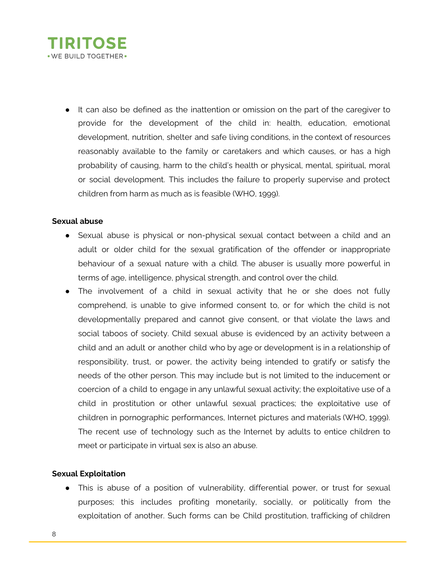

● It can also be defined as the inattention or omission on the part of the caregiver to provide for the development of the child in: health, education, emotional development, nutrition, shelter and safe living conditions, in the context of resources reasonably available to the family or caretakers and which causes, or has a high probability of causing, harm to the child's health or physical, mental, spiritual, moral or social development. This includes the failure to properly supervise and protect children from harm as much as is feasible (WHO, 1999).

#### **Sexual abuse**

- Sexual abuse is physical or non-physical sexual contact between a child and an adult or older child for the sexual gratification of the offender or inappropriate behaviour of a sexual nature with a child. The abuser is usually more powerful in terms of age, intelligence, physical strength, and control over the child.
- The involvement of a child in sexual activity that he or she does not fully comprehend, is unable to give informed consent to, or for which the child is not developmentally prepared and cannot give consent, or that violate the laws and social taboos of society. Child sexual abuse is evidenced by an activity between a child and an adult or another child who by age or development is in a relationship of responsibility, trust, or power, the activity being intended to gratify or satisfy the needs of the other person. This may include but is not limited to the inducement or coercion of a child to engage in any unlawful sexual activity; the exploitative use of a child in prostitution or other unlawful sexual practices; the exploitative use of children in pornographic performances, Internet pictures and materials (WHO, 1999). The recent use of technology such as the Internet by adults to entice children to meet or participate in virtual sex is also an abuse.

#### **Sexual Exploitation**

• This is abuse of a position of vulnerability, differential power, or trust for sexual purposes; this includes profiting monetarily, socially, or politically from the exploitation of another. Such forms can be Child prostitution, trafficking of children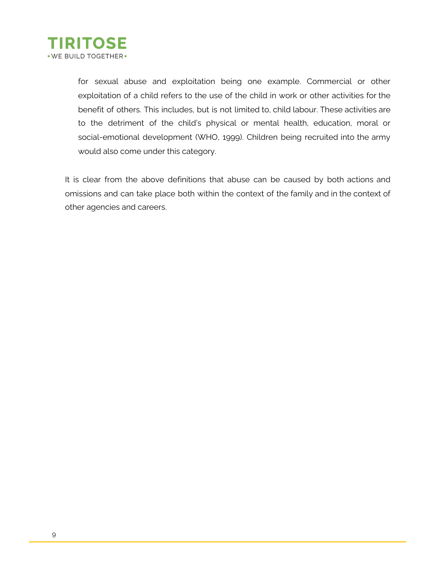

for sexual abuse and exploitation being one example. Commercial or other exploitation of a child refers to the use of the child in work or other activities for the benefit of others. This includes, but is not limited to, child labour. These activities are to the detriment of the child's physical or mental health, education, moral or social-emotional development (WHO, 1999). Children being recruited into the army would also come under this category.

It is clear from the above definitions that abuse can be caused by both actions and omissions and can take place both within the context of the family and in the context of other agencies and careers.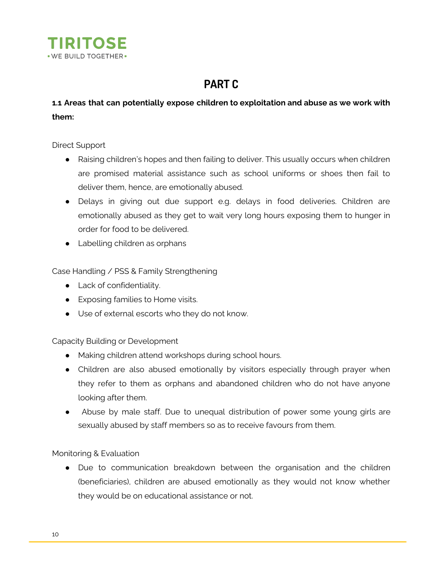

# **PART C**

### **1.1 Areas that can potentially expose children to exploitation and abuse as we work with them:**

Direct Support

- Raising children's hopes and then failing to deliver. This usually occurs when children are promised material assistance such as school uniforms or shoes then fail to deliver them, hence, are emotionally abused.
- Delays in giving out due support e.g. delays in food deliveries. Children are emotionally abused as they get to wait very long hours exposing them to hunger in order for food to be delivered.
- Labelling children as orphans

Case Handling / PSS & Family Strengthening

- Lack of confidentiality.
- Exposing families to Home visits.
- Use of external escorts who they do not know.

#### Capacity Building or Development

- Making children attend workshops during school hours.
- Children are also abused emotionally by visitors especially through prayer when they refer to them as orphans and abandoned children who do not have anyone looking after them.
- Abuse by male staff. Due to unequal distribution of power some young girls are sexually abused by staff members so as to receive favours from them.

Monitoring & Evaluation

• Due to communication breakdown between the organisation and the children (beneficiaries), children are abused emotionally as they would not know whether they would be on educational assistance or not.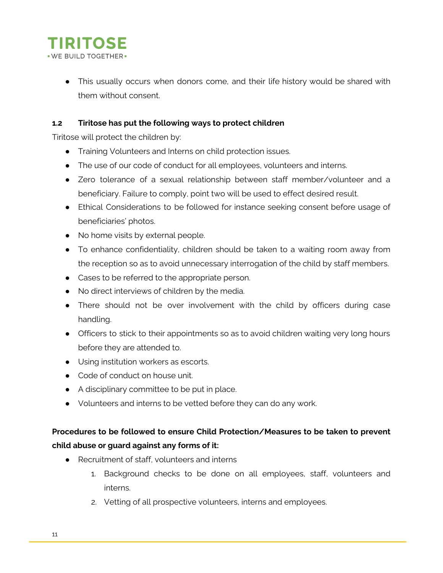

● This usually occurs when donors come, and their life history would be shared with them without consent.

### **1.2 Tiritose has put the following ways to protect children**

Tiritose will protect the children by:

- Training Volunteers and Interns on child protection issues.
- The use of our code of conduct for all employees, volunteers and interns.
- Zero tolerance of a sexual relationship between staff member/volunteer and a beneficiary. Failure to comply, point two will be used to effect desired result.
- Ethical Considerations to be followed for instance seeking consent before usage of beneficiaries' photos.
- No home visits by external people.
- To enhance confidentiality, children should be taken to a waiting room away from the reception so as to avoid unnecessary interrogation of the child by staff members.
- Cases to be referred to the appropriate person.
- No direct interviews of children by the media.
- There should not be over involvement with the child by officers during case handling.
- Officers to stick to their appointments so as to avoid children waiting very long hours before they are attended to.
- Using institution workers as escorts.
- Code of conduct on house unit.
- A disciplinary committee to be put in place.
- Volunteers and interns to be vetted before they can do any work.

## **Procedures to be followed to ensure Child Protection/Measures to be taken to prevent child abuse or guard against any forms of it:**

- Recruitment of staff, volunteers and interns
	- 1. Background checks to be done on all employees, staff, volunteers and interns.
	- 2. Vetting of all prospective volunteers, interns and employees.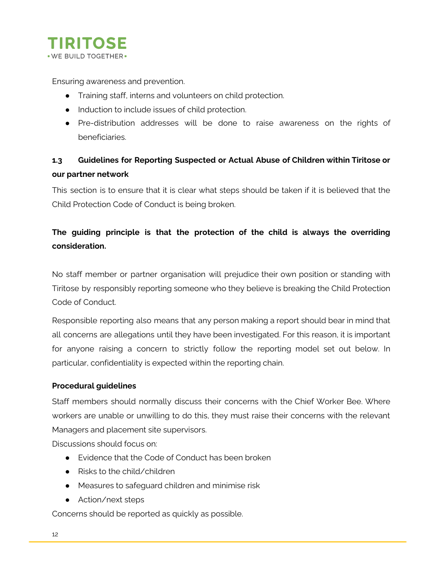

Ensuring awareness and prevention.

- Training staff, interns and volunteers on child protection.
- Induction to include issues of child protection.
- Pre-distribution addresses will be done to raise awareness on the rights of beneficiaries.

## **1.3 Guidelines for Reporting Suspected or Actual Abuse of Children within Tiritose or our partner network**

This section is to ensure that it is clear what steps should be taken if it is believed that the Child Protection Code of Conduct is being broken.

## **The guiding principle is that the protection of the child is always the overriding consideration.**

No staff member or partner organisation will prejudice their own position or standing with Tiritose by responsibly reporting someone who they believe is breaking the Child Protection Code of Conduct.

Responsible reporting also means that any person making a report should bear in mind that all concerns are allegations until they have been investigated. For this reason, it is important for anyone raising a concern to strictly follow the reporting model set out below. In particular, confidentiality is expected within the reporting chain.

#### **Procedural guidelines**

Staff members should normally discuss their concerns with the Chief Worker Bee. Where workers are unable or unwilling to do this, they must raise their concerns with the relevant Managers and placement site supervisors.

Discussions should focus on:

- Evidence that the Code of Conduct has been broken
- Risks to the child/children
- Measures to safeguard children and minimise risk
- Action/next steps

Concerns should be reported as quickly as possible.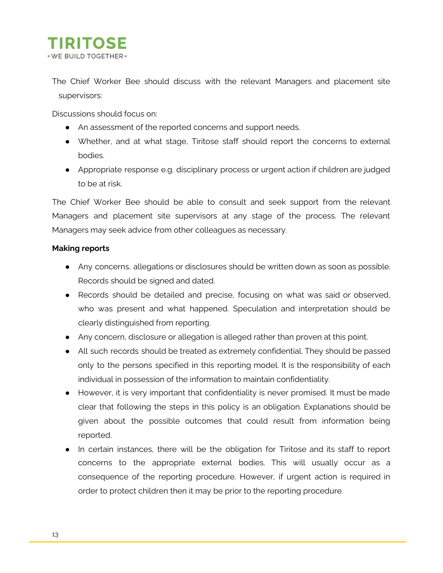

The Chief Worker Bee should discuss with the relevant Managers and placement site supervisors:

Discussions should focus on:

- An assessment of the reported concerns and support needs.
- Whether, and at what stage, Tiritose staff should report the concerns to external bodies.
- Appropriate response e.g. disciplinary process or urgent action if children are judged to be at risk.

The Chief Worker Bee should be able to consult and seek support from the relevant Managers and placement site supervisors at any stage of the process. The relevant Managers may seek advice from other colleagues as necessary.

#### **Making reports**

- Any concerns, allegations or disclosures should be written down as soon as possible. Records should be signed and dated.
- Records should be detailed and precise, focusing on what was said or observed, who was present and what happened. Speculation and interpretation should be clearly distinguished from reporting.
- Any concern, disclosure or allegation is alleged rather than proven at this point.
- All such records should be treated as extremely confidential. They should be passed only to the persons specified in this reporting model. It is the responsibility of each individual in possession of the information to maintain confidentiality.
- However, it is very important that confidentiality is never promised. It must be made clear that following the steps in this policy is an obligation. Explanations should be given about the possible outcomes that could result from information being reported.
- In certain instances, there will be the obligation for Tiritose and its staff to report concerns to the appropriate external bodies. This will usually occur as a consequence of the reporting procedure. However, if urgent action is required in order to protect children then it may be prior to the reporting procedure.